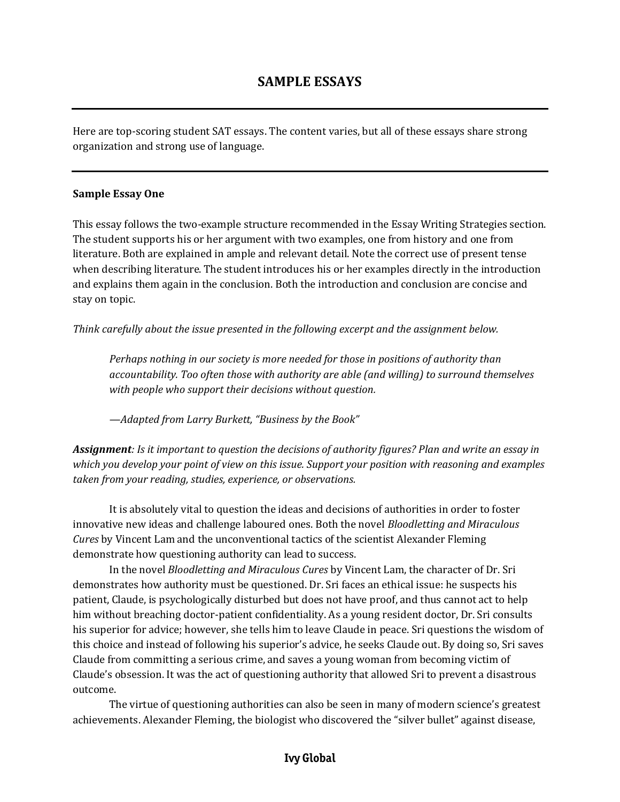Here are top-scoring student SAT essays. The content varies, but all of these essays share strong organization and strong use of language.

## **Sample Essay One**

This essay follows the two-example structure recommended in the Essay Writing Strategies section. The student supports his or her argument with two examples, one from history and one from literature. Both are explained in ample and relevant detail. Note the correct use of present tense when describing literature. The student introduces his or her examples directly in the introduction and explains them again in the conclusion. Both the introduction and conclusion are concise and stay on topic.

*Think carefully about the issue presented in the following excerpt and the assignment below.*

*Perhaps nothing in our society is more needed for those in positions of authority than accountability. Too often those with authority are able (and willing) to surround themselves with people who support their decisions without question.*

*—Adapted from Larry Burkett, "Business by the Book"*

*Assignment: Is it important to question the decisions of authority figures? Plan and write an essay in which you develop your point of view on this issue. Support your position with reasoning and examples taken from your reading, studies, experience, or observations.*

It is absolutely vital to question the ideas and decisions of authorities in order to foster innovative new ideas and challenge laboured ones. Both the novel *Bloodletting and Miraculous Cures* by Vincent Lam and the unconventional tactics of the scientist Alexander Fleming demonstrate how questioning authority can lead to success.

In the novel *Bloodletting and Miraculous Cures* by Vincent Lam, the character of Dr. Sri demonstrates how authority must be questioned. Dr. Sri faces an ethical issue: he suspects his patient, Claude, is psychologically disturbed but does not have proof, and thus cannot act to help him without breaching doctor-patient confidentiality. As a young resident doctor, Dr. Sri consults his superior for advice; however, she tells him to leave Claude in peace. Sri questions the wisdom of this choice and instead of following his superior's advice, he seeks Claude out. By doing so, Sri saves Claude from committing a serious crime, and saves a young woman from becoming victim of Claude's obsession. It was the act of questioning authority that allowed Sri to prevent a disastrous outcome.

The virtue of questioning authorities can also be seen in many of modern science's greatest achievements. Alexander Fleming, the biologist who discovered the "silver bullet" against disease,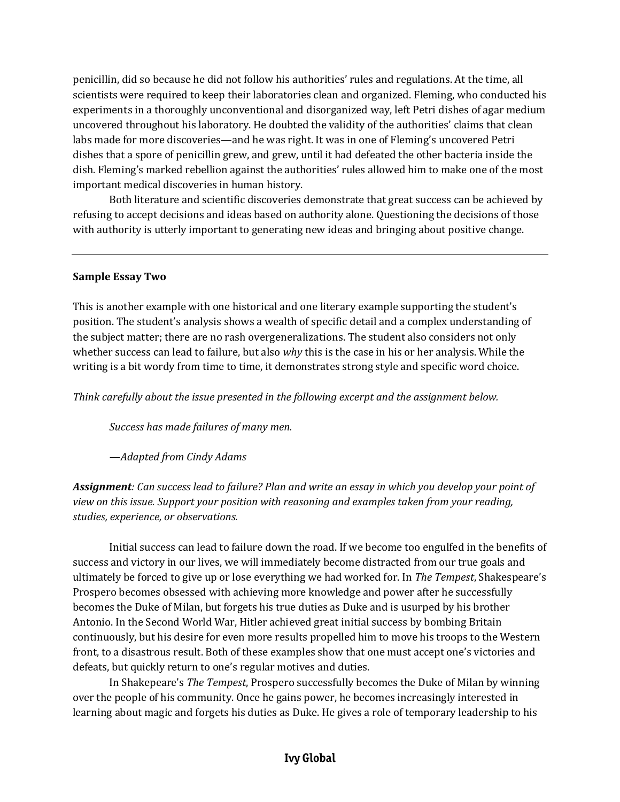penicillin, did so because he did not follow his authorities' rules and regulations. At the time, all scientists were required to keep their laboratories clean and organized. Fleming, who conducted his experiments in a thoroughly unconventional and disorganized way, left Petri dishes of agar medium uncovered throughout his laboratory. He doubted the validity of the authorities' claims that clean labs made for more discoveries—and he was right. It was in one of Fleming's uncovered Petri dishes that a spore of penicillin grew, and grew, until it had defeated the other bacteria inside the dish. Fleming's marked rebellion against the authorities' rules allowed him to make one of the most important medical discoveries in human history.

Both literature and scientific discoveries demonstrate that great success can be achieved by refusing to accept decisions and ideas based on authority alone. Questioning the decisions of those with authority is utterly important to generating new ideas and bringing about positive change.

## **Sample Essay Two**

This is another example with one historical and one literary example supporting the student's position. The student's analysis shows a wealth of specific detail and a complex understanding of the subject matter; there are no rash overgeneralizations. The student also considers not only whether success can lead to failure, but also *why* this is the case in his or her analysis. While the writing is a bit wordy from time to time, it demonstrates strong style and specific word choice.

*Think carefully about the issue presented in the following excerpt and the assignment below.*

*Success has made failures of many men.*

*—Adapted from Cindy Adams*

*Assignment: Can success lead to failure? Plan and write an essay in which you develop your point of view on this issue. Support your position with reasoning and examples taken from your reading, studies, experience, or observations.*

Initial success can lead to failure down the road. If we become too engulfed in the benefits of success and victory in our lives, we will immediately become distracted from our true goals and ultimately be forced to give up or lose everything we had worked for. In *The Tempest*, Shakespeare's Prospero becomes obsessed with achieving more knowledge and power after he successfully becomes the Duke of Milan, but forgets his true duties as Duke and is usurped by his brother Antonio. In the Second World War, Hitler achieved great initial success by bombing Britain continuously, but his desire for even more results propelled him to move his troops to the Western front, to a disastrous result. Both of these examples show that one must accept one's victories and defeats, but quickly return to one's regular motives and duties.

In Shakepeare's *The Tempest*, Prospero successfully becomes the Duke of Milan by winning over the people of his community. Once he gains power, he becomes increasingly interested in learning about magic and forgets his duties as Duke. He gives a role of temporary leadership to his